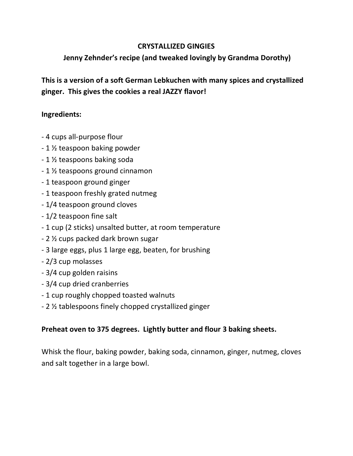## CRYSTALLIZED GINGIES

## Jenny Zehnder's recipe (and tweaked lovingly by Grandma Dorothy)

This is a version of a soft German Lebkuchen with many spices and crystallized ginger. This gives the cookies a real JAZZY flavor!

## Ingredients:

- 4 cups all-purpose flour
- 1 ½ teaspoon baking powder
- 1 ½ teaspoons baking soda
- 1 ½ teaspoons ground cinnamon
- 1 teaspoon ground ginger
- 1 teaspoon freshly grated nutmeg
- 1/4 teaspoon ground cloves
- 1/2 teaspoon fine salt
- 1 cup (2 sticks) unsalted butter, at room temperature
- 2 ½ cups packed dark brown sugar
- 3 large eggs, plus 1 large egg, beaten, for brushing
- 2/3 cup molasses
- 3/4 cup golden raisins
- 3/4 cup dried cranberries
- 1 cup roughly chopped toasted walnuts
- 2 ½ tablespoons finely chopped crystallized ginger

## Preheat oven to 375 degrees. Lightly butter and flour 3 baking sheets.

Whisk the flour, baking powder, baking soda, cinnamon, ginger, nutmeg, cloves and salt together in a large bowl.